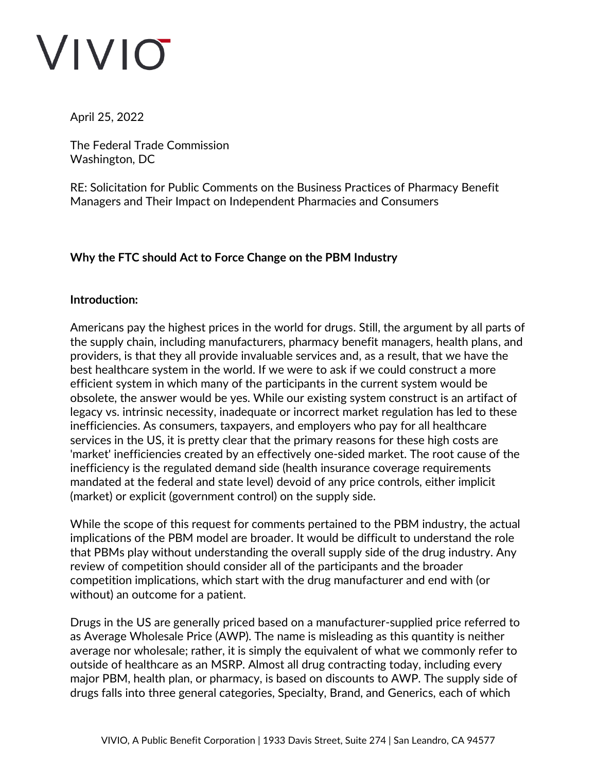April 25, 2022

The Federal Trade Commission Washington, DC

RE: Solicitation for Public Comments on the Business Practices of Pharmacy Benefit Managers and Their Impact on Independent Pharmacies and Consumers

### **Why the FTC should Act to Force Change on the PBM Industry**

#### **Introduction:**

Americans pay the highest prices in the world for drugs. Still, the argument by all parts of the supply chain, including manufacturers, pharmacy benefit managers, health plans, and providers, is that they all provide invaluable services and, as a result, that we have the best healthcare system in the world. If we were to ask if we could construct a more efficient system in which many of the participants in the current system would be obsolete, the answer would be yes. While our existing system construct is an artifact of legacy vs. intrinsic necessity, inadequate or incorrect market regulation has led to these inefficiencies. As consumers, taxpayers, and employers who pay for all healthcare services in the US, it is pretty clear that the primary reasons for these high costs are 'market' inefficiencies created by an effectively one-sided market. The root cause of the inefficiency is the regulated demand side (health insurance coverage requirements mandated at the federal and state level) devoid of any price controls, either implicit (market) or explicit (government control) on the supply side.

While the scope of this request for comments pertained to the PBM industry, the actual implications of the PBM model are broader. It would be difficult to understand the role that PBMs play without understanding the overall supply side of the drug industry. Any review of competition should consider all of the participants and the broader competition implications, which start with the drug manufacturer and end with (or without) an outcome for a patient.

Drugs in the US are generally priced based on a manufacturer-supplied price referred to as Average Wholesale Price (AWP). The name is misleading as this quantity is neither average nor wholesale; rather, it is simply the equivalent of what we commonly refer to outside of healthcare as an MSRP. Almost all drug contracting today, including every major PBM, health plan, or pharmacy, is based on discounts to AWP. The supply side of drugs falls into three general categories, Specialty, Brand, and Generics, each of which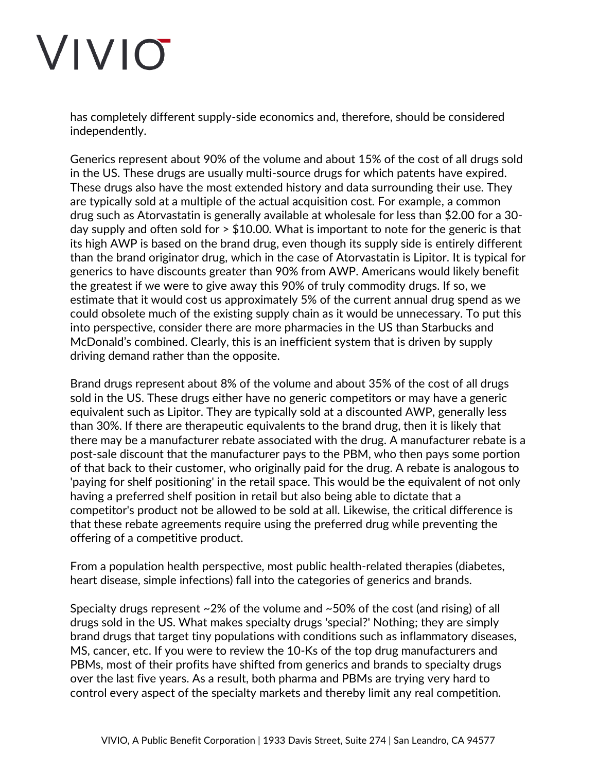has completely different supply-side economics and, therefore, should be considered independently.

Generics represent about 90% of the volume and about 15% of the cost of all drugs sold in the US. These drugs are usually multi-source drugs for which patents have expired. These drugs also have the most extended history and data surrounding their use. They are typically sold at a multiple of the actual acquisition cost. For example, a common drug such as Atorvastatin is generally available at wholesale for less than \$2.00 for a 30 day supply and often sold for > \$10.00. What is important to note for the generic is that its high AWP is based on the brand drug, even though its supply side is entirely different than the brand originator drug, which in the case of Atorvastatin is Lipitor. It is typical for generics to have discounts greater than 90% from AWP. Americans would likely benefit the greatest if we were to give away this 90% of truly commodity drugs. If so, we estimate that it would cost us approximately 5% of the current annual drug spend as we could obsolete much of the existing supply chain as it would be unnecessary. To put this into perspective, consider there are more pharmacies in the US than Starbucks and McDonald's combined. Clearly, this is an inefficient system that is driven by supply driving demand rather than the opposite.

Brand drugs represent about 8% of the volume and about 35% of the cost of all drugs sold in the US. These drugs either have no generic competitors or may have a generic equivalent such as Lipitor. They are typically sold at a discounted AWP, generally less than 30%. If there are therapeutic equivalents to the brand drug, then it is likely that there may be a manufacturer rebate associated with the drug. A manufacturer rebate is a post-sale discount that the manufacturer pays to the PBM, who then pays some portion of that back to their customer, who originally paid for the drug. A rebate is analogous to 'paying for shelf positioning' in the retail space. This would be the equivalent of not only having a preferred shelf position in retail but also being able to dictate that a competitor's product not be allowed to be sold at all. Likewise, the critical difference is that these rebate agreements require using the preferred drug while preventing the offering of a competitive product.

From a population health perspective, most public health-related therapies (diabetes, heart disease, simple infections) fall into the categories of generics and brands.

Specialty drugs represent ~2% of the volume and ~50% of the cost (and rising) of all drugs sold in the US. What makes specialty drugs 'special?' Nothing; they are simply brand drugs that target tiny populations with conditions such as inflammatory diseases, MS, cancer, etc. If you were to review the 10-Ks of the top drug manufacturers and PBMs, most of their profits have shifted from generics and brands to specialty drugs over the last five years. As a result, both pharma and PBMs are trying very hard to control every aspect of the specialty markets and thereby limit any real competition.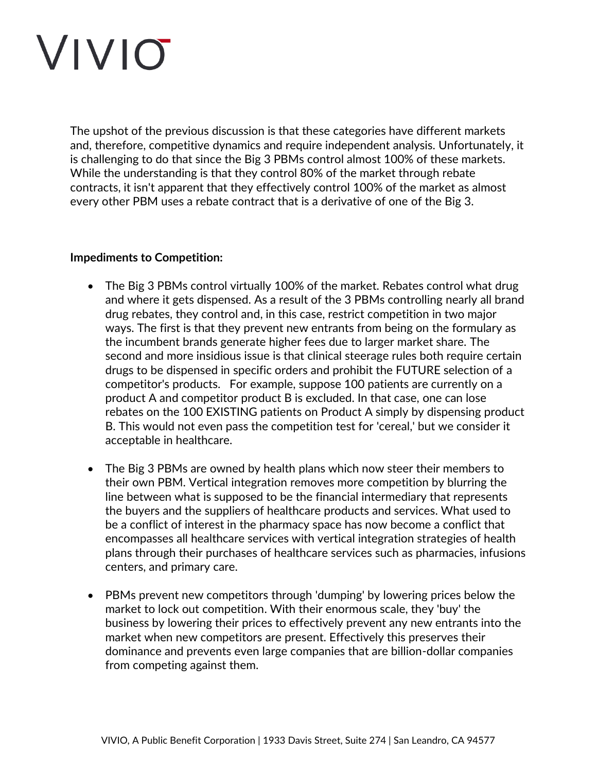The upshot of the previous discussion is that these categories have different markets and, therefore, competitive dynamics and require independent analysis. Unfortunately, it is challenging to do that since the Big 3 PBMs control almost 100% of these markets. While the understanding is that they control 80% of the market through rebate contracts, it isn't apparent that they effectively control 100% of the market as almost every other PBM uses a rebate contract that is a derivative of one of the Big 3.

#### **Impediments to Competition:**

- The Big 3 PBMs control virtually 100% of the market. Rebates control what drug and where it gets dispensed. As a result of the 3 PBMs controlling nearly all brand drug rebates, they control and, in this case, restrict competition in two major ways. The first is that they prevent new entrants from being on the formulary as the incumbent brands generate higher fees due to larger market share. The second and more insidious issue is that clinical steerage rules both require certain drugs to be dispensed in specific orders and prohibit the FUTURE selection of a competitor's products. For example, suppose 100 patients are currently on a product A and competitor product B is excluded. In that case, one can lose rebates on the 100 EXISTING patients on Product A simply by dispensing product B. This would not even pass the competition test for 'cereal,' but we consider it acceptable in healthcare.
- The Big 3 PBMs are owned by health plans which now steer their members to their own PBM. Vertical integration removes more competition by blurring the line between what is supposed to be the financial intermediary that represents the buyers and the suppliers of healthcare products and services. What used to be a conflict of interest in the pharmacy space has now become a conflict that encompasses all healthcare services with vertical integration strategies of health plans through their purchases of healthcare services such as pharmacies, infusions centers, and primary care.
- PBMs prevent new competitors through 'dumping' by lowering prices below the market to lock out competition. With their enormous scale, they 'buy' the business by lowering their prices to effectively prevent any new entrants into the market when new competitors are present. Effectively this preserves their dominance and prevents even large companies that are billion-dollar companies from competing against them.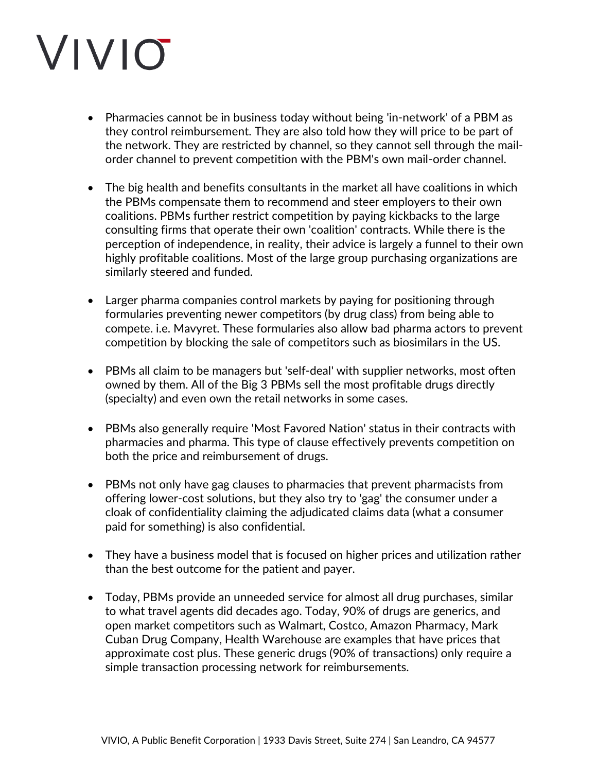- Pharmacies cannot be in business today without being 'in-network' of a PBM as they control reimbursement. They are also told how they will price to be part of the network. They are restricted by channel, so they cannot sell through the mailorder channel to prevent competition with the PBM's own mail-order channel.
- The big health and benefits consultants in the market all have coalitions in which the PBMs compensate them to recommend and steer employers to their own coalitions. PBMs further restrict competition by paying kickbacks to the large consulting firms that operate their own 'coalition' contracts. While there is the perception of independence, in reality, their advice is largely a funnel to their own highly profitable coalitions. Most of the large group purchasing organizations are similarly steered and funded.
- Larger pharma companies control markets by paying for positioning through formularies preventing newer competitors (by drug class) from being able to compete. i.e. Mavyret. These formularies also allow bad pharma actors to prevent competition by blocking the sale of competitors such as biosimilars in the US.
- PBMs all claim to be managers but 'self-deal' with supplier networks, most often owned by them. All of the Big 3 PBMs sell the most profitable drugs directly (specialty) and even own the retail networks in some cases.
- PBMs also generally require 'Most Favored Nation' status in their contracts with pharmacies and pharma. This type of clause effectively prevents competition on both the price and reimbursement of drugs.
- PBMs not only have gag clauses to pharmacies that prevent pharmacists from offering lower-cost solutions, but they also try to 'gag' the consumer under a cloak of confidentiality claiming the adjudicated claims data (what a consumer paid for something) is also confidential.
- They have a business model that is focused on higher prices and utilization rather than the best outcome for the patient and payer.
- Today, PBMs provide an unneeded service for almost all drug purchases, similar to what travel agents did decades ago. Today, 90% of drugs are generics, and open market competitors such as Walmart, Costco, Amazon Pharmacy, Mark Cuban Drug Company, Health Warehouse are examples that have prices that approximate cost plus. These generic drugs (90% of transactions) only require a simple transaction processing network for reimbursements.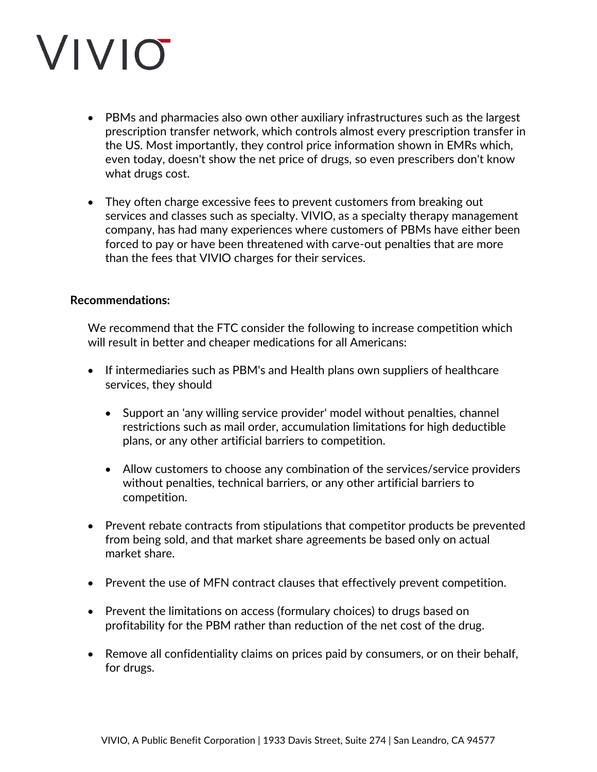- PBMs and pharmacies also own other auxiliary infrastructures such as the largest prescription transfer network, which controls almost every prescription transfer in the US. Most importantly, they control price information shown in EMRs which, even today, doesn't show the net price of drugs, so even prescribers don't know what drugs cost.
- They often charge excessive fees to prevent customers from breaking out services and classes such as specialty. VIVIO, as a specialty therapy management company, has had many experiences where customers of PBMs have either been forced to pay or have been threatened with carve-out penalties that are more than the fees that VIVIO charges for their services.

#### **Recommendations:**

We recommend that the FTC consider the following to increase competition which will result in better and cheaper medications for all Americans:

- If intermediaries such as PBM's and Health plans own suppliers of healthcare services, they should
	- Support an 'any willing service provider' model without penalties, channel restrictions such as mail order, accumulation limitations for high deductible plans, or any other artificial barriers to competition.
	- Allow customers to choose any combination of the services/service providers without penalties, technical barriers, or any other artificial barriers to competition.
- Prevent rebate contracts from stipulations that competitor products be prevented from being sold, and that market share agreements be based only on actual market share.
- Prevent the use of MFN contract clauses that effectively prevent competition.
- Prevent the limitations on access (formulary choices) to drugs based on profitability for the PBM rather than reduction of the net cost of the drug.
- Remove all confidentiality claims on prices paid by consumers, or on their behalf, for drugs.